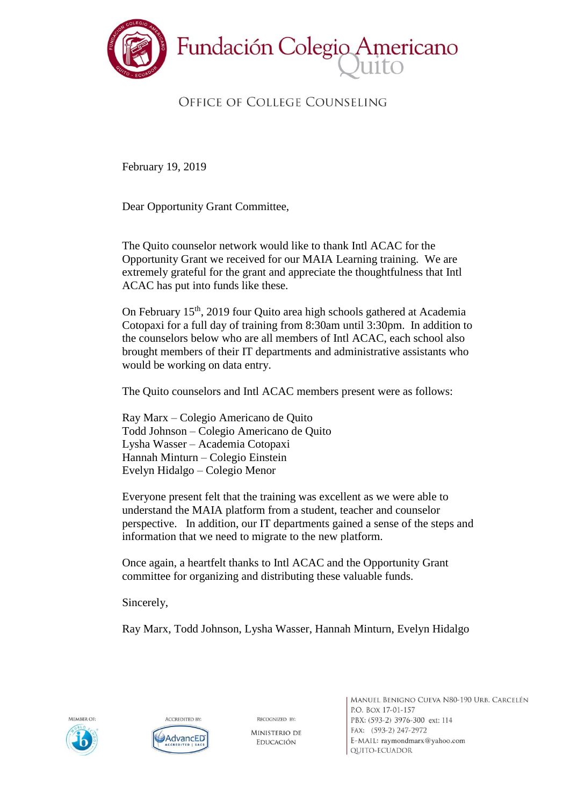

## OFFICE OF COLLEGE COUNSELING

February 19, 2019

Dear Opportunity Grant Committee,

The Quito counselor network would like to thank Intl ACAC for the Opportunity Grant we received for our MAIA Learning training. We are extremely grateful for the grant and appreciate the thoughtfulness that Intl ACAC has put into funds like these.

On February 15<sup>th</sup>, 2019 four Quito area high schools gathered at Academia Cotopaxi for a full day of training from 8:30am until 3:30pm. In addition to the counselors below who are all members of Intl ACAC, each school also brought members of their IT departments and administrative assistants who would be working on data entry.

The Quito counselors and Intl ACAC members present were as follows:

Ray Marx – Colegio Americano de Quito Todd Johnson – Colegio Americano de Quito Lysha Wasser – Academia Cotopaxi Hannah Minturn – Colegio Einstein Evelyn Hidalgo – Colegio Menor

Everyone present felt that the training was excellent as we were able to understand the MAIA platform from a student, teacher and counselor perspective. In addition, our IT departments gained a sense of the steps and information that we need to migrate to the new platform.

Once again, a heartfelt thanks to Intl ACAC and the Opportunity Grant committee for organizing and distributing these valuable funds.

Sincerely,

Ray Marx, Todd Johnson, Lysha Wasser, Hannah Minturn, Evelyn Hidalgo





RECOGNIZED BY: **MINISTERIO DE** EDUCACIÓN

MANUEL BENIGNO CUEVA N80-190 URB CARCELÉN P.O. BOX 17-01-157 PBX: (593-2) 3976-300 ext: 114 FAX: (593-2) 247-2972 E-MAIL: raymondmarx@yahoo.com QUITO-ECUADOR